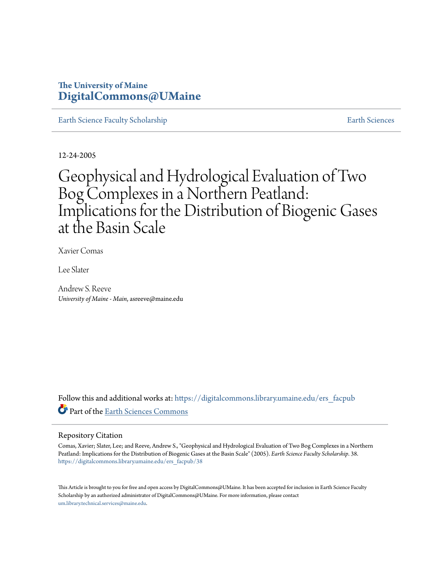# **The University of Maine [DigitalCommons@UMaine](https://digitalcommons.library.umaine.edu?utm_source=digitalcommons.library.umaine.edu%2Fers_facpub%2F38&utm_medium=PDF&utm_campaign=PDFCoverPages)**

[Earth Science Faculty Scholarship](https://digitalcommons.library.umaine.edu/ers_facpub?utm_source=digitalcommons.library.umaine.edu%2Fers_facpub%2F38&utm_medium=PDF&utm_campaign=PDFCoverPages) **[Earth Sciences](https://digitalcommons.library.umaine.edu/ers?utm_source=digitalcommons.library.umaine.edu%2Fers_facpub%2F38&utm_medium=PDF&utm_campaign=PDFCoverPages)** 

12-24-2005

# Geophysical and Hydrological Evaluation of Two Bog Complexes in a Northern Peatland: Implications for the Distribution of Biogenic Gases at the Basin Scale

Xavier Comas

Lee Slater

Andrew S. Reeve *University of Maine - Main*, asreeve@maine.edu

Follow this and additional works at: [https://digitalcommons.library.umaine.edu/ers\\_facpub](https://digitalcommons.library.umaine.edu/ers_facpub?utm_source=digitalcommons.library.umaine.edu%2Fers_facpub%2F38&utm_medium=PDF&utm_campaign=PDFCoverPages) Part of the [Earth Sciences Commons](http://network.bepress.com/hgg/discipline/153?utm_source=digitalcommons.library.umaine.edu%2Fers_facpub%2F38&utm_medium=PDF&utm_campaign=PDFCoverPages)

## Repository Citation

Comas, Xavier; Slater, Lee; and Reeve, Andrew S., "Geophysical and Hydrological Evaluation of Two Bog Complexes in a Northern Peatland: Implications for the Distribution of Biogenic Gases at the Basin Scale" (2005). *Earth Science Faculty Scholarship*. 38. [https://digitalcommons.library.umaine.edu/ers\\_facpub/38](https://digitalcommons.library.umaine.edu/ers_facpub/38?utm_source=digitalcommons.library.umaine.edu%2Fers_facpub%2F38&utm_medium=PDF&utm_campaign=PDFCoverPages)

This Article is brought to you for free and open access by DigitalCommons@UMaine. It has been accepted for inclusion in Earth Science Faculty Scholarship by an authorized administrator of DigitalCommons@UMaine. For more information, please contact [um.library.technical.services@maine.edu](mailto:um.library.technical.services@maine.edu).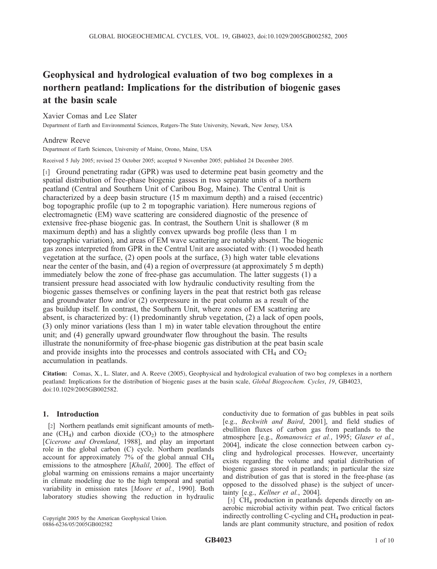# Geophysical and hydrological evaluation of two bog complexes in a northern peatland: Implications for the distribution of biogenic gases at the basin scale

Xavier Comas and Lee Slater

Department of Earth and Environmental Sciences, Rutgers-The State University, Newark, New Jersey, USA

## Andrew Reeve

Department of Earth Sciences, University of Maine, Orono, Maine, USA

Received 5 July 2005; revised 25 October 2005; accepted 9 November 2005; published 24 December 2005.

[1] Ground penetrating radar (GPR) was used to determine peat basin geometry and the spatial distribution of free-phase biogenic gasses in two separate units of a northern peatland (Central and Southern Unit of Caribou Bog, Maine). The Central Unit is characterized by a deep basin structure (15 m maximum depth) and a raised (eccentric) bog topographic profile (up to 2 m topographic variation). Here numerous regions of electromagnetic (EM) wave scattering are considered diagnostic of the presence of extensive free-phase biogenic gas. In contrast, the Southern Unit is shallower (8 m maximum depth) and has a slightly convex upwards bog profile (less than 1 m topographic variation), and areas of EM wave scattering are notably absent. The biogenic gas zones interpreted from GPR in the Central Unit are associated with: (1) wooded heath vegetation at the surface, (2) open pools at the surface, (3) high water table elevations near the center of the basin, and (4) a region of overpressure (at approximately 5 m depth) immediately below the zone of free-phase gas accumulation. The latter suggests (1) a transient pressure head associated with low hydraulic conductivity resulting from the biogenic gasses themselves or confining layers in the peat that restrict both gas release and groundwater flow and/or (2) overpressure in the peat column as a result of the gas buildup itself. In contrast, the Southern Unit, where zones of EM scattering are absent, is characterized by: (1) predominantly shrub vegetation, (2) a lack of open pools, (3) only minor variations (less than 1 m) in water table elevation throughout the entire unit; and (4) generally upward groundwater flow throughout the basin. The results illustrate the nonuniformity of free-phase biogenic gas distribution at the peat basin scale and provide insights into the processes and controls associated with  $CH<sub>4</sub>$  and  $CO<sub>2</sub>$ accumulation in peatlands.

Citation: Comas, X., L. Slater, and A. Reeve (2005), Geophysical and hydrological evaluation of two bog complexes in a northern peatland: Implications for the distribution of biogenic gases at the basin scale, Global Biogeochem. Cycles, 19, GB4023, doi:10.1029/2005GB002582.

## 1. Introduction

[2] Northern peatlands emit significant amounts of methane  $(CH<sub>4</sub>)$  and carbon dioxide  $(CO<sub>2</sub>)$  to the atmosphere [Cicerone and Oremland, 1988], and play an important role in the global carbon (C) cycle. Northern peatlands account for approximately 7% of the global annual CH4 emissions to the atmosphere [Khalil, 2000]. The effect of global warming on emissions remains a major uncertainty in climate modeling due to the high temporal and spatial variability in emission rates [Moore et al., 1990]. Both laboratory studies showing the reduction in hydraulic

conductivity due to formation of gas bubbles in peat soils [e.g., Beckwith and Baird, 2001], and field studies of ebullition fluxes of carbon gas from peatlands to the atmosphere [e.g., Romanowicz et al., 1995; Glaser et al., 2004], indicate the close connection between carbon cycling and hydrological processes. However, uncertainty exists regarding the volume and spatial distribution of biogenic gasses stored in peatlands; in particular the size and distribution of gas that is stored in the free-phase (as opposed to the dissolved phase) is the subject of uncertainty [e.g., Kellner et al., 2004].

[3] CH<sub>4</sub> production in peatlands depends directly on anaerobic microbial activity within peat. Two critical factors indirectly controlling C-cycling and  $CH<sub>4</sub>$  production in peatlands are plant community structure, and position of redox

Copyright 2005 by the American Geophysical Union. 0886-6236/05/2005GB002582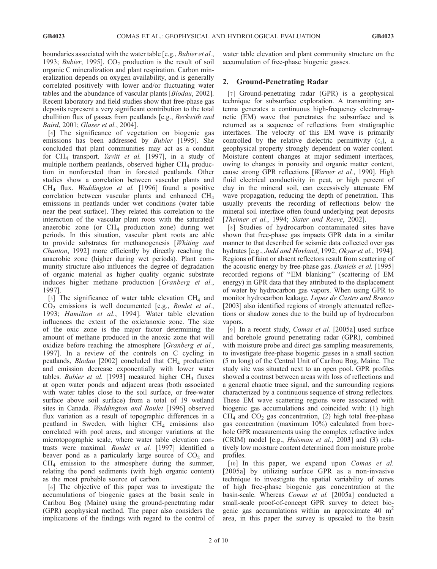boundaries associated with the water table [e.g., Bubier et al., 1993; *Bubier*, 1995].  $CO<sub>2</sub>$  production is the result of soil organic C mineralization and plant respiration. Carbon mineralization depends on oxygen availability, and is generally correlated positively with lower and/or fluctuating water tables and the abundance of vascular plants [Blodau, 2002]. Recent laboratory and field studies show that free-phase gas deposits represent a very significant contribution to the total ebullition flux of gasses from peatlands [e.g., Beckwith and Baird, 2001; Glaser et al., 2004].

[4] The significance of vegetation on biogenic gas emissions has been addressed by Bubier [1995]. She concluded that plant communities may act as a conduit for  $CH_4$  transport. *Yavitt et al.* [1997], in a study of multiple northern peatlands, observed higher  $CH<sub>4</sub>$  production in nonforested than in forested peatlands. Other studies show a correlation between vascular plants and  $CH<sub>4</sub>$  flux. *Waddington et al.* [1996] found a positive correlation between vascular plants and enhanced CH4 emissions in peatlands under wet conditions (water table near the peat surface). They related this correlation to the interaction of the vascular plant roots with the saturated/ anaerobic zone (or  $CH<sub>4</sub>$  production zone) during wet periods. In this situation, vascular plant roots are able to provide substrates for methanogenesis [Whiting and Chanton, 1992] more efficiently by directly reaching the anaerobic zone (higher during wet periods). Plant community structure also influences the degree of degradation of organic material as higher quality organic substrate induces higher methane production [Granberg et al., 1997].

[5] The significance of water table elevation  $CH<sub>4</sub>$  and  $CO<sub>2</sub>$  emissions is well documented [e.g., *Roulet et al.*, 1993; Hamilton et al., 1994]. Water table elevation influences the extent of the oxic/anoxic zone. The size of the oxic zone is the major factor determining the amount of methane produced in the anoxic zone that will oxidize before reaching the atmosphere [Granberg et al., 1997]. In a review of the controls on C cycling in peatlands,  $Blodau$  [2002] concluded that CH<sub>4</sub> production and emission decrease exponentially with lower water tables. Bubier et al. [1993] measured higher  $CH<sub>4</sub>$  fluxes at open water ponds and adjacent areas (both associated with water tables close to the soil surface, or free-water surface above soil surface) from a total of 19 wetland sites in Canada. Waddington and Roulet [1996] observed flux variation as a result of topographic differences in a peatland in Sweden, with higher  $CH<sub>4</sub>$  emissions also correlated with pool areas, and stronger variations at the microtopographic scale, where water table elevation contrasts were maximal. Roulet et al. [1997] identified a beaver pond as a particularly large source of  $CO<sub>2</sub>$  and  $CH<sub>4</sub>$  emission to the atmosphere during the summer, relating the pond sediments (with high organic content) as the most probable source of carbon.

[6] The objective of this paper was to investigate the accumulations of biogenic gases at the basin scale in Caribou Bog (Maine) using the ground-penetrating radar (GPR) geophysical method. The paper also considers the implications of the findings with regard to the control of

water table elevation and plant community structure on the accumulation of free-phase biogenic gasses.

# 2. Ground-Penetrating Radar

[7] Ground-penetrating radar (GPR) is a geophysical technique for subsurface exploration. A transmitting antenna generates a continuous high-frequency electromagnetic (EM) wave that penetrates the subsurface and is returned as a sequence of reflections from stratigraphic interfaces. The velocity of this EM wave is primarily controlled by the relative dielectric permittivity  $(\epsilon_r)$ , a geophysical property strongly dependent on water content. Moisture content changes at major sediment interfaces, owing to changes in porosity and organic matter content, cause strong GPR reflections [Warner et al., 1990]. High fluid electrical conductivity in peat, or high percent of clay in the mineral soil, can excessively attenuate EM wave propagation, reducing the depth of penetration. This usually prevents the recording of reflections below the mineral soil interface often found underlying peat deposits [Theimer et al., 1994; Slater and Reeve, 2002].

[8] Studies of hydrocarbon contaminated sites have shown that free-phase gas impacts GPR data in a similar manner to that described for seismic data collected over gas hydrates [e.g., Judd and Hovland, 1992; Okyar et al., 1994]. Regions of faint or absent reflectors result from scattering of the acoustic energy by free-phase gas. Daniels et al. [1995] recorded regions of ''EM blanking'' (scattering of EM energy) in GPR data that they attributed to the displacement of water by hydrocarbon gas vapors. When using GPR to monitor hydrocarbon leakage, Lopes de Castro and Branco [2003] also identified regions of strongly attenuated reflections or shadow zones due to the build up of hydrocarbon vapors.

[9] In a recent study, Comas et al. [2005a] used surface and borehole ground penetrating radar (GPR), combined with moisture probe and direct gas sampling measurements, to investigate free-phase biogenic gasses in a small section (5 m long) of the Central Unit of Caribou Bog, Maine. The study site was situated next to an open pool. GPR profiles showed a contrast between areas with loss of reflections and a general chaotic trace signal, and the surrounding regions characterized by a continuous sequence of strong reflectors. These EM wave scattering regions were associated with biogenic gas accumulations and coincided with: (1) high  $CH<sub>4</sub>$  and  $CO<sub>2</sub>$  gas concentration, (2) high total free-phase gas concentration (maximum 10%) calculated from borehole GPR measurements using the complex refractive index (CRIM) model [e.g., Huisman et al., 2003] and (3) relatively low moisture content determined from moisture probe profiles.

[10] In this paper, we expand upon Comas et al. [2005a] by utilizing surface GPR as a non-invasive technique to investigate the spatial variability of zones of high free-phase biogenic gas concentration at the basin-scale. Whereas Comas et al. [2005a] conducted a small-scale proof-of-concept GPR survey to detect biogenic gas accumulations within an approximate 40  $m<sup>2</sup>$ area, in this paper the survey is upscaled to the basin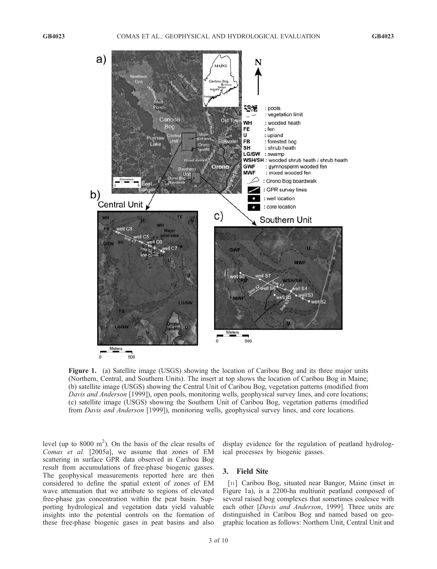

Figure 1. (a) Satellite image (USGS) showing the location of Caribou Bog and its three major units (Northern, Central, and Southern Units). The insert at top shows the location of Caribou Bog in Maine; (b) satellite image (USGS) showing the Central Unit of Caribou Bog, vegetation patterns (modified from Davis and Anderson [1999]), open pools, monitoring wells, geophysical survey lines, and core locations; (c) satellite image (USGS) showing the Southern Unit of Caribou Bog, vegetation patterns (modified from Davis and Anderson [1999]), monitoring wells, geophysical survey lines, and core locations.

level (up to  $8000 \text{ m}^2$ ). On the basis of the clear results of Comas et al. [2005a], we assume that zones of EM scattering in surface GPR data observed in Caribou Bog result from accumulations of free-phase biogenic gasses. The geophysical measurements reported here are then considered to define the spatial extent of zones of EM wave attenuation that we attribute to regions of elevated free-phase gas concentration within the peat basin. Supporting hydrological and vegetation data yield valuable insights into the potential controls on the formation of these free-phase biogenic gases in peat basins and also

display evidence for the regulation of peatland hydrological processes by biogenic gasses.

# 3. Field Site

[11] Caribou Bog, situated near Bangor, Maine (inset in Figure 1a), is a 2200-ha multiunit peatland composed of several raised bog complexes that sometimes coalesce with each other [Davis and Anderson, 1999]. Three units are distinguished in Caribou Bog and named based on geographic location as follows: Northern Unit, Central Unit and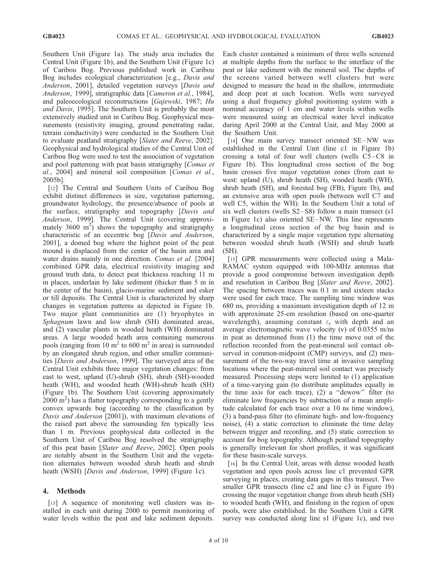Southern Unit (Figure 1a). The study area includes the Central Unit (Figure 1b), and the Southern Unit (Figure 1c) of Caribou Bog. Previous published work in Caribou Bog includes ecological characterization [e.g., Davis and Anderson, 2001], detailed vegetation surveys [Davis and Anderson, 1999], stratigraphic data [Cameron et al., 1984], and paleoecological reconstructions [Gajewski, 1987; Hu and Davis, 1995]. The Southern Unit is probably the most extensively studied unit in Caribou Bog. Geophysical measurements (resistivity imaging, ground penetrating radar, terrain conductivity) were conducted in the Southern Unit to evaluate peatland stratigraphy [Slater and Reeve, 2002]. Geophysical and hydrological studies of the Central Unit of Caribou Bog were used to test the association of vegetation and pool patterning with peat basin stratigraphy [Comas et al., 2004] and mineral soil composition [Comas et al., 2005b].

[12] The Central and Southern Units of Caribou Bog exhibit distinct differences in size, vegetation patterning, groundwater hydrology, the presence/absence of pools at the surface, stratigraphy and topography [Davis and Anderson, 1999]. The Central Unit (covering approximately  $3600 \text{ m}^2$ ) shows the topography and stratigraphy characteristic of an eccentric bog [Davis and Anderson, 2001], a domed bog where the highest point of the peat mound is displaced from the center of the basin area and water drains mainly in one direction. Comas et al. [2004] combined GPR data, electrical resistivity imaging and ground truth data, to detect peat thickness reaching 11 m in places, underlain by lake sediment (thicker than 5 m in the center of the basin), glacio-marine sediment and esker or till deposits. The Central Unit is characterized by sharp changes in vegetation patterns as depicted in Figure 1b. Two major plant communities are (1) bryophytes in Sphagnum lawn and low shrub (SH) dominated areas, and (2) vascular plants in wooded heath (WH) dominated areas. A large wooded heath area containing numerous pools (ranging from 10  $m<sup>2</sup>$  to 600  $m<sup>2</sup>$  in area) is surrounded by an elongated shrub region, and other smaller communities [Davis and Anderson, 1999]. The surveyed area of the Central Unit exhibits three major vegetation changes: from east to west, upland (U)-shrub (SH), shrub (SH)-wooded heath (WH), and wooded heath (WH)-shrub heath (SH) (Figure 1b). The Southern Unit (covering approximately  $2000 \text{ m}^2$ ) has a flatter topography corresponding to a gently convex upwards bog (according to the classification by Davis and Anderson [2001]), with maximum elevations of the raised part above the surrounding fen typically less than 1 m. Previous geophysical data collected in the Southern Unit of Caribou Bog resolved the stratigraphy of this peat basin [Slater and Reeve, 2002]. Open pools are notably absent in the Southern Unit and the vegetation alternates between wooded shrub heath and shrub heath (WSH) [Davis and Anderson, 1999] (Figure 1c).

#### 4. Methods

[13] A sequence of monitoring well clusters was installed in each unit during 2000 to permit monitoring of water levels within the peat and lake sediment deposits. Each cluster contained a minimum of three wells screened at multiple depths from the surface to the interface of the peat or lake sediment with the mineral soil. The depths of the screens varied between well clusters but were designed to measure the head in the shallow, intermediate and deep peat at each location. Wells were surveyed using a dual frequency global positioning system with a nominal accuracy of 1 cm and water levels within wells were measured using an electrical water level indicator during April 2000 at the Central Unit, and May 2000 at the Southern Unit.

[14] One main survey transect oriented SE–NW was established in the Central Unit (line c1 in Figure 1b) crossing a total of four well clusters (wells  $C5-C8$  in Figure 1b). This longitudinal cross section of the bog basin crosses five major vegetation zones (from east to west: upland (U), shrub heath (SH), wooded heath (WH), shrub heath (SH), and forested bog (FB), Figure 1b), and an extensive area with open pools (between well C7 and well C5, within the WH). In the Southern Unit a total of six well clusters (wells S2–S8) follow a main transect (s1 in Figure 1c) also oriented SE –NW. This line represents a longitudinal cross section of the bog basin and is characterized by a single major vegetation type alternating between wooded shrub heath (WSH) and shrub heath (SH).

[15] GPR measurements were collected using a Mala-RAMAC system equipped with 100-MHz antennas that provide a good compromise between investigation depth and resolution in Caribou Bog [Slater and Reeve, 2002]. The spacing between traces was 0.1 m and sixteen stacks were used for each trace. The sampling time window was 680 ns, providing a maximum investigation depth of 12 m with approximate 25-cm resolution (based on one-quarter wavelength), assuming constant  $\varepsilon_r$  with depth and an average electromagnetic wave velocity (v) of 0.0355 m/ns in peat as determined from (1) the time move out of the reflection recorded from the peat-mineral soil contact observed in common-midpoint (CMP) surveys, and (2) measurement of the two-way travel time at invasive sampling locations where the peat-mineral soil contact was precisely measured. Processing steps were limited to (1) application of a time-varying gain (to distribute amplitudes equally in the time axis for each trace), (2) a ''dewow'' filter (to eliminate low frequencies by subtraction of a mean amplitude calculated for each trace over a 10 ns time window), (3) a band-pass filter (to eliminate high- and low-frequency noise), (4) a static correction to eliminate the time delay between trigger and recording, and (5) static correction to account for bog topography. Although peatland topography is generally irrelevant for short profiles, it was significant for these basin-scale surveys.

[16] In the Central Unit, areas with dense wooded heath vegetation and open pools across line c1 prevented GPR surveying in places, creating data gaps in this transect. Two smaller GPR transects (line c2 and line c3 in Figure 1b) crossing the major vegetation change from shrub heath (SH) to wooded heath (WH), and finishing in the region of open pools, were also established. In the Southern Unit a GPR survey was conducted along line s1 (Figure 1c), and two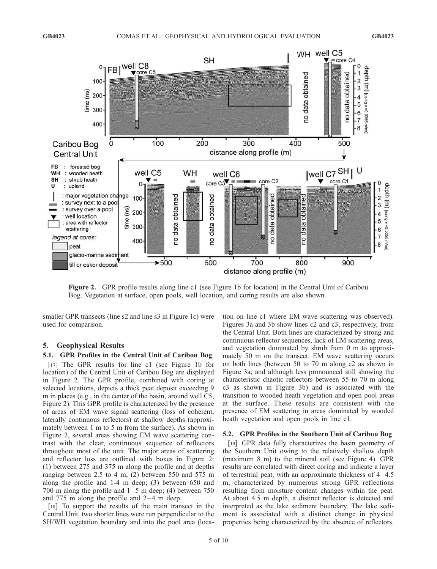

Figure 2. GPR profile results along line c1 (see Figure 1b for location) in the Central Unit of Caribou Bog. Vegetation at surface, open pools, well location, and coring results are also shown.

smaller GPR transects (line s2 and line s3 in Figure 1c) were used for comparison.

#### 5. Geophysical Results

# 5.1. GPR Profiles in the Central Unit of Caribou Bog

[17] The GPR results for line c1 (see Figure 1b for location) of the Central Unit of Caribou Bog are displayed in Figure 2. The GPR profile, combined with coring at selected locations, depicts a thick peat deposit exceeding 9 m in places (e.g., in the center of the basin, around well C5, Figure 2). This GPR profile is characterized by the presence of areas of EM wave signal scattering (loss of coherent, laterally continuous reflectors) at shallow depths (approximately between 1 m to 5 m from the surface). As shown in Figure 2, several areas showing EM wave scattering contrast with the clear, continuous sequence of reflectors throughout most of the unit. The major areas of scattering and reflector loss are outlined with boxes in Figure 2: (1) between 275 and 375 m along the profile and at depths ranging between 2.5 to 4 m; (2) between 550 and 575 m along the profile and 1-4 m deep; (3) between 650 and 700 m along the profile and  $1-5$  m deep; (4) between 750 and 775 m along the profile and  $2-4$  m deep.

[18] To support the results of the main transect in the Central Unit, two shorter lines were run perpendicular to the SH/WH vegetation boundary and into the pool area (location on line c1 where EM wave scattering was observed). Figures 3a and 3b show lines c2 and c3, respectively, from the Central Unit. Both lines are characterized by strong and continuous reflector sequences, lack of EM scattering areas, and vegetation dominated by shrub from 0 m to approximately 50 m on the transect. EM wave scattering occurs on both lines (between 50 to 70 m along c2 as shown in Figure 3a; and although less pronounced still showing the characteristic chaotic reflectors between 55 to 70 m along c3 as shown in Figure 3b) and is associated with the transition to wooded heath vegetation and open pool areas at the surface. These results are consistent with the presence of EM scattering in areas dominated by wooded heath vegetation and open pools in line c1.

#### 5.2. GPR Profiles in the Southern Unit of Caribou Bog

[19] GPR data fully characterizes the basin geometry of the Southern Unit owing to the relatively shallow depth (maximum 8 m) to the mineral soil (see Figure 4). GPR results are correlated with direct coring and indicate a layer of terrestrial peat, with an approximate thickness of 4-4.5 m, characterized by numerous strong GPR reflections resulting from moisture content changes within the peat. At about 4.5 m depth, a distinct reflector is detected and interpreted as the lake sediment boundary. The lake sediment is associated with a distinct change in physical properties being characterized by the absence of reflectors.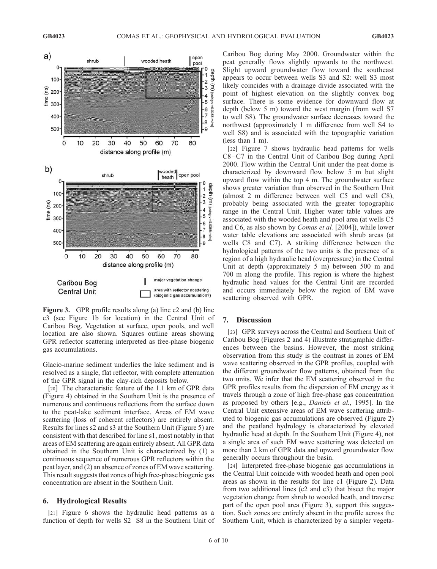

Figure 3. GPR profile results along (a) line c2 and (b) line c3 (see Figure 1b for location) in the Central Unit of Caribou Bog. Vegetation at surface, open pools, and well location are also shown. Squares outline areas showing GPR reflector scattering interpreted as free-phase biogenic gas accumulations.

Glacio-marine sediment underlies the lake sediment and is resolved as a single, flat reflector, with complete attenuation of the GPR signal in the clay-rich deposits below.

[20] The characteristic feature of the 1.1 km of GPR data (Figure 4) obtained in the Southern Unit is the presence of numerous and continuous reflections from the surface down to the peat-lake sediment interface. Areas of EM wave scattering (loss of coherent reflectors) are entirely absent. Results for lines s2 and s3 at the Southern Unit (Figure 5) are consistent with that described for line s1, most notably in that areas of EM scattering are again entirely absent. All GPR data obtained in the Southern Unit is characterized by (1) a continuous sequence of numerous GPR reflectors within the peat layer, and (2) an absence of zones of EM wave scattering. This result suggests that zones of high free-phase biogenic gas concentration are absent in the Southern Unit.

#### 6. Hydrological Results

[21] Figure 6 shows the hydraulic head patterns as a function of depth for wells S2–S8 in the Southern Unit of Caribou Bog during May 2000. Groundwater within the peat generally flows slightly upwards to the northwest. Slight upward groundwater flow toward the southeast appears to occur between wells S3 and S2: well S3 most likely coincides with a drainage divide associated with the point of highest elevation on the slightly convex bog surface. There is some evidence for downward flow at depth (below 5 m) toward the west margin (from well S7 to well S8). The groundwater surface decreases toward the northwest (approximately 1 m difference from well S4 to well S8) and is associated with the topographic variation (less than 1 m).

[22] Figure 7 shows hydraulic head patterns for wells C8–C7 in the Central Unit of Caribou Bog during April 2000. Flow within the Central Unit under the peat dome is characterized by downward flow below 5 m but slight upward flow within the top 4 m. The groundwater surface shows greater variation than observed in the Southern Unit (almost 2 m difference between well C5 and well C8), probably being associated with the greater topographic range in the Central Unit. Higher water table values are associated with the wooded heath and pool area (at wells C5 and C6, as also shown by Comas et al. [2004]), while lower water table elevations are associated with shrub areas (at wells C8 and C7). A striking difference between the hydrological patterns of the two units is the presence of a region of a high hydraulic head (overpressure) in the Central Unit at depth (approximately 5 m) between 500 m and 700 m along the profile. This region is where the highest hydraulic head values for the Central Unit are recorded and occurs immediately below the region of EM wave scattering observed with GPR.

#### 7. Discussion

[23] GPR surveys across the Central and Southern Unit of Caribou Bog (Figures 2 and 4) illustrate stratigraphic differences between the basins. However, the most striking observation from this study is the contrast in zones of EM wave scattering observed in the GPR profiles, coupled with the different groundwater flow patterns, obtained from the two units. We infer that the EM scattering observed in the GPR profiles results from the dispersion of EM energy as it travels through a zone of high free-phase gas concentration as proposed by others [e.g., Daniels et al., 1995]. In the Central Unit extensive areas of EM wave scattering attributed to biogenic gas accumulations are observed (Figure 2) and the peatland hydrology is characterized by elevated hydraulic head at depth. In the Southern Unit (Figure 4), not a single area of such EM wave scattering was detected on more than 2 km of GPR data and upward groundwater flow generally occurs throughout the basin.

[24] Interpreted free-phase biogenic gas accumulations in the Central Unit coincide with wooded heath and open pool areas as shown in the results for line c1 (Figure 2). Data from two additional lines (c2 and c3) that bisect the major vegetation change from shrub to wooded heath, and traverse part of the open pool area (Figure 3), support this suggestion. Such zones are entirely absent in the profile across the Southern Unit, which is characterized by a simpler vegeta-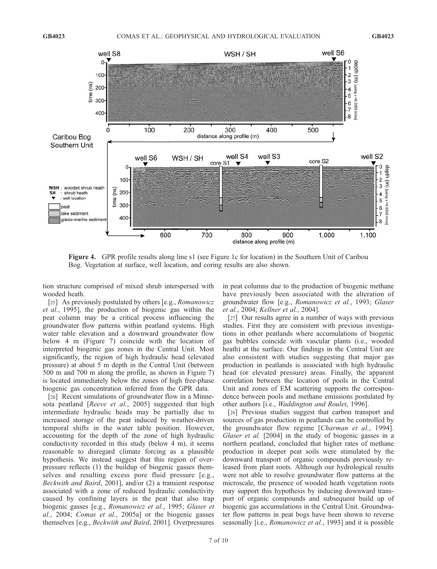

Figure 4. GPR profile results along line s1 (see Figure 1c for location) in the Southern Unit of Caribou Bog. Vegetation at surface, well location, and coring results are also shown.

tion structure comprised of mixed shrub interspersed with wooded heath.

[25] As previously postulated by others [e.g., *Romanowicz*] et al., 1995], the production of biogenic gas within the peat column may be a critical process influencing the groundwater flow patterns within peatland systems. High water table elevation and a downward groundwater flow below 4 m (Figure 7) coincide with the location of interpreted biogenic gas zones in the Central Unit. Most significantly, the region of high hydraulic head (elevated pressure) at about 5 m depth in the Central Unit (between 500 m and 700 m along the profile, as shown in Figure 7) is located immediately below the zones of high free-phase biogenic gas concentration inferred from the GPR data.

[26] Recent simulations of groundwater flow in a Minnesota peatland [Reeve et al., 2005] suggested that high intermediate hydraulic heads may be partially due to increased storage of the peat induced by weather-driven temporal shifts in the water table position. However, accounting for the depth of the zone of high hydraulic conductivity recorded in this study (below 4 m), it seems reasonable to disregard climate forcing as a plausible hypothesis. We instead suggest that this region of overpressure reflects (1) the buildup of biogenic gasses themselves and resulting excess pore fluid pressure [e.g., Beckwith and Baird, 2001], and/or (2) a transient response associated with a zone of reduced hydraulic conductivity caused by confining layers in the peat that also trap biogenic gasses [e.g., Romanowicz et al., 1995; Glaser et al., 2004; Comas et al., 2005a] or the biogenic gasses themselves [e.g., Beckwith and Baird, 2001]. Overpressures in peat columns due to the production of biogenic methane have previously been associated with the alteration of groundwater flow [e.g., Romanowicz et al., 1993; Glaser et al., 2004; Kellner et al., 2004].

[27] Our results agree in a number of ways with previous studies. First they are consistent with previous investigations in other peatlands where accumulations of biogenic gas bubbles coincide with vascular plants (i.e., wooded heath) at the surface. Our findings in the Central Unit are also consistent with studies suggesting that major gas production in peatlands is associated with high hydraulic head (or elevated pressure) areas. Finally, the apparent correlation between the location of pools in the Central Unit and zones of EM scattering supports the correspondence between pools and methane emissions postulated by other authors [i.e., Waddington and Roulet, 1996].

[28] Previous studies suggest that carbon transport and sources of gas production in peatlands can be controlled by the groundwater flow regime [Charman et al., 1994]. Glaser et al. [2004] in the study of biogenic gasses in a northern peatland, concluded that higher rates of methane production in deeper peat soils were stimulated by the downward transport of organic compounds previously released from plant roots. Although our hydrological results were not able to resolve groundwater flow patterns at the microscale, the presence of wooded heath vegetation roots may support this hypothesis by inducing downward transport of organic compounds and subsequent build up of biogenic gas accumulations in the Central Unit. Groundwater flow patterns in peat bogs have been shown to reverse seasonally [i.e., *Romanowicz et al.*, 1993] and it is possible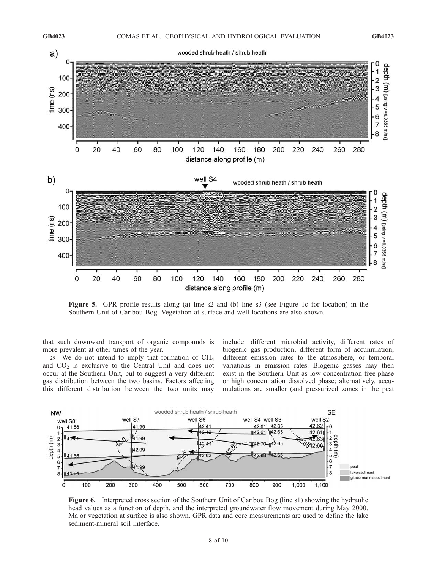

Figure 5. GPR profile results along (a) line s2 and (b) line s3 (see Figure 1c for location) in the Southern Unit of Caribou Bog. Vegetation at surface and well locations are also shown.

that such downward transport of organic compounds is more prevalent at other times of the year.

[29] We do not intend to imply that formation of CH4 and  $CO<sub>2</sub>$  is exclusive to the Central Unit and does not occur at the Southern Unit, but to suggest a very different gas distribution between the two basins. Factors affecting this different distribution between the two units may include: different microbial activity, different rates of biogenic gas production, different form of accumulation, different emission rates to the atmosphere, or temporal variations in emission rates. Biogenic gasses may then exist in the Southern Unit as low concentration free-phase or high concentration dissolved phase; alternatively, accumulations are smaller (and pressurized zones in the peat



Figure 6. Interpreted cross section of the Southern Unit of Caribou Bog (line s1) showing the hydraulic head values as a function of depth, and the interpreted groundwater flow movement during May 2000. Major vegetation at surface is also shown. GPR data and core measurements are used to define the lake sediment-mineral soil interface.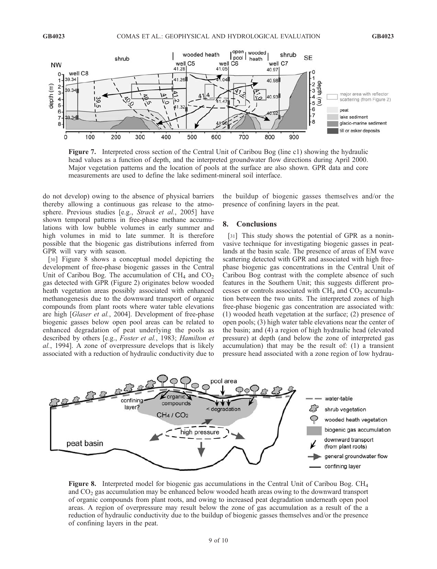

Figure 7. Interpreted cross section of the Central Unit of Caribou Bog (line c1) showing the hydraulic head values as a function of depth, and the interpreted groundwater flow directions during April 2000. Major vegetation patterns and the location of pools at the surface are also shown. GPR data and core measurements are used to define the lake sediment-mineral soil interface.

do not develop) owing to the absence of physical barriers thereby allowing a continuous gas release to the atmosphere. Previous studies [e.g., Strack et al., 2005] have shown temporal patterns in free-phase methane accumulations with low bubble volumes in early summer and high volumes in mid to late summer. It is therefore possible that the biogenic gas distributions inferred from GPR will vary with season.

[30] Figure 8 shows a conceptual model depicting the development of free-phase biogenic gasses in the Central Unit of Caribou Bog. The accumulation of  $CH<sub>4</sub>$  and  $CO<sub>2</sub>$ gas detected with GPR (Figure 2) originates below wooded heath vegetation areas possibly associated with enhanced methanogenesis due to the downward transport of organic compounds from plant roots where water table elevations are high [Glaser et al., 2004]. Development of free-phase biogenic gasses below open pool areas can be related to enhanced degradation of peat underlying the pools as described by others [e.g., Foster et al., 1983; Hamilton et al., 1994]. A zone of overpressure develops that is likely associated with a reduction of hydraulic conductivity due to the buildup of biogenic gasses themselves and/or the presence of confining layers in the peat.

#### 8. Conclusions

[31] This study shows the potential of GPR as a noninvasive technique for investigating biogenic gasses in peatlands at the basin scale. The presence of areas of EM wave scattering detected with GPR and associated with high freephase biogenic gas concentrations in the Central Unit of Caribou Bog contrast with the complete absence of such features in the Southern Unit; this suggests different processes or controls associated with  $CH<sub>4</sub>$  and  $CO<sub>2</sub>$  accumulation between the two units. The interpreted zones of high free-phase biogenic gas concentration are associated with: (1) wooded heath vegetation at the surface; (2) presence of open pools; (3) high water table elevations near the center of the basin; and (4) a region of high hydraulic head (elevated pressure) at depth (and below the zone of interpreted gas accumulation) that may be the result of: (1) a transient pressure head associated with a zone region of low hydrau-



Figure 8. Interpreted model for biogenic gas accumulations in the Central Unit of Caribou Bog. CH<sub>4</sub> and CO2 gas accumulation may be enhanced below wooded heath areas owing to the downward transport of organic compounds from plant roots, and owing to increased peat degradation underneath open pool areas. A region of overpressure may result below the zone of gas accumulation as a result of the a reduction of hydraulic conductivity due to the buildup of biogenic gasses themselves and/or the presence of confining layers in the peat.